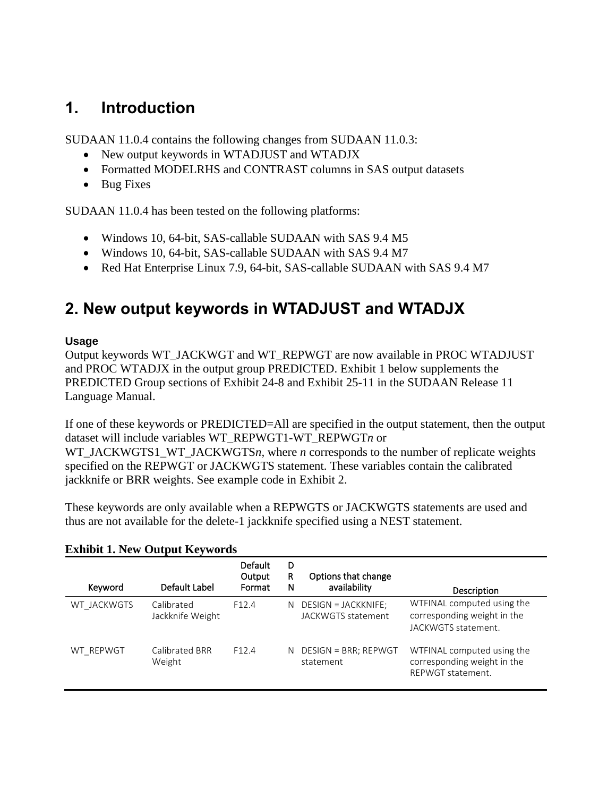# **1. Introduction**

SUDAAN 11.0.4 contains the following changes from SUDAAN 11.0.3:

- New output keywords in WTADJUST and WTADJX
- Formatted MODELRHS and CONTRAST columns in SAS output datasets
- Bug Fixes

SUDAAN 11.0.4 has been tested on the following platforms:

- Windows 10, 64-bit, SAS-callable SUDAAN with SAS 9.4 M5
- Windows 10, 64-bit, SAS-callable SUDAAN with SAS 9.4 M7
- Red Hat Enterprise Linux 7.9, 64-bit, SAS-callable SUDAAN with SAS 9.4 M7

# **2. New output keywords in WTADJUST and WTADJX**

## **Usage**

Output keywords WT\_JACKWGT and WT\_REPWGT are now available in PROC WTADJUST and PROC WTADJX in the output group PREDICTED. Exhibit 1 below supplements the PREDICTED Group sections of Exhibit 24-8 and Exhibit 25-11 in the SUDAAN Release 11 Language Manual.

If one of these keywords or PREDICTED=All are specified in the output statement, then the output dataset will include variables WT\_REPWGT1-WT\_REPWGT*n* or

WT\_JACKWGTS1\_WT\_JACKWGTSn, where *n* corresponds to the number of replicate weights specified on the REPWGT or JACKWGTS statement. These variables contain the calibrated jackknife or BRR weights. See example code in Exhibit 2.

These keywords are only available when a REPWGTS or JACKWGTS statements are used and thus are not available for the delete-1 jackknife specified using a NEST statement.

| Keyword     | Default Label                  | <b>Default</b><br>Output<br>Format | D<br>R<br>N | Options that change<br>availability       | Description                                                                      |
|-------------|--------------------------------|------------------------------------|-------------|-------------------------------------------|----------------------------------------------------------------------------------|
| WT JACKWGTS | Calibrated<br>Jackknife Weight | F <sub>12</sub> .4                 | N.          | DESIGN = JACKKNIFE;<br>JACKWGTS statement | WTFINAL computed using the<br>corresponding weight in the<br>JACKWGTS statement. |
| WT REPWGT   | Calibrated BRR<br>Weight       | F <sub>12</sub> .4                 | N.          | DESIGN = BRR; REPWGT<br>statement         | WTFINAL computed using the<br>corresponding weight in the<br>REPWGT statement.   |

## **Exhibit 1. New Output Keywords**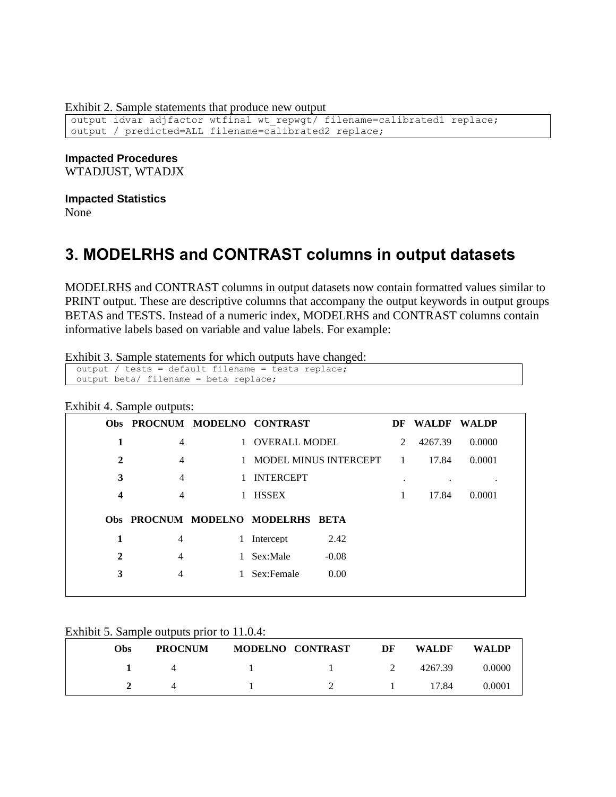Exhibit 2. Sample statements that produce new output

output idvar adjfactor wtfinal wt repwgt/ filename=calibrated1 replace; output / predicted=ALL filename=calibrated2 replace;

**Impacted Procedures**

WTADJUST, WTADJX

### **Impacted Statistics**

None

# **3. MODELRHS and CONTRAST columns in output datasets**

MODELRHS and CONTRAST columns in output datasets now contain formatted values similar to PRINT output. These are descriptive columns that accompany the output keywords in output groups BETAS and TESTS. Instead of a numeric index, MODELRHS and CONTRAST columns contain informative labels based on variable and value labels. For example:

Exhibit 3. Sample statements for which outputs have changed:

```
output / tests = default filename = tests replace;
output beta/ filename = beta replace;
```
#### Exhibit 4. Sample outputs:

|                  |                |              | Obs PROCNUM MODELNO CONTRAST      |                           | DF | <b>WALDF</b> | WALDP  |  |
|------------------|----------------|--------------|-----------------------------------|---------------------------|----|--------------|--------|--|
| 1                | 4              |              | 1 OVERALL MODEL                   |                           | 2  | 4267.39      | 0.0000 |  |
| 2                | 4              |              |                                   | 1 MODEL MINUS INTERCEPT 1 |    | 17.84        | 0.0001 |  |
| 3                | 4              |              | 1 INTERCEPT                       |                           | ٠  |              |        |  |
| $\boldsymbol{4}$ | $\overline{4}$ |              | 1 HSSEX                           |                           | 1  | 17.84        | 0.0001 |  |
|                  |                |              | Obs PROCNUM MODELNO MODELRHS BETA |                           |    |              |        |  |
| 1                | 4              |              | Intercept                         | 2.42                      |    |              |        |  |
| $\mathbf{2}$     | $\overline{4}$ |              | Sex:Male                          | $-0.08$                   |    |              |        |  |
| 3                | $\overline{4}$ | $\mathbf{1}$ | Sex:Female                        | 0.00                      |    |              |        |  |
|                  |                |              |                                   |                           |    |              |        |  |

Exhibit 5. Sample outputs prior to 11.0.4:

| <b>Obs</b> | <b>PROCNUM</b> | MODELNO CONTRAST | DF | WALDF   | WALDP  |
|------------|----------------|------------------|----|---------|--------|
|            |                |                  |    | 4267.39 | 0.0000 |
|            |                |                  |    | 17.84   | 0.0001 |